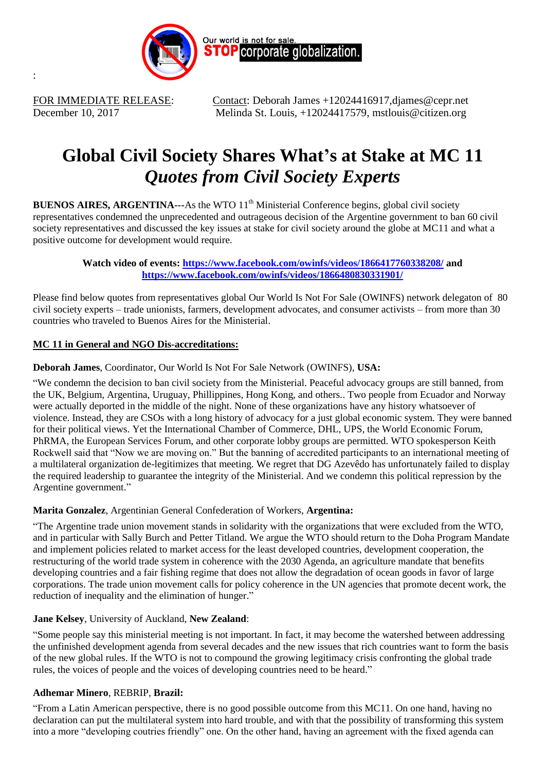

:

FOR IMMEDIATE RELEASE: Contact: Deborah James +12024416917, djames @cepr.net December 10, 2017 Melinda St. Louis, +12024417579, mstlouis@citizen.org

# **Global Civil Society Shares What's at Stake at MC 11** *Quotes from Civil Society Experts*

**BUENOS AIRES, ARGENTINA---**As the WTO 11<sup>th</sup> Ministerial Conference begins, global civil society representatives condemned the unprecedented and outrageous decision of the Argentine government to ban 60 civil society representatives and discussed the key issues at stake for civil society around the globe at MC11 and what a positive outcome for development would require.

## **Watch video of events:<https://www.facebook.com/owinfs/videos/1866417760338208/> and <https://www.facebook.com/owinfs/videos/1866480830331901/>**

Please find below quotes from representatives global Our World Is Not For Sale (OWINFS) network delegaton of 80 civil society experts – trade unionists, farmers, development advocates, and consumer activists – from more than 30 countries who traveled to Buenos Aires for the Ministerial.

# **MC 11 in General and NGO Dis-accreditations:**

# **Deborah James**, Coordinator, Our World Is Not For Sale Network (OWINFS), **USA:**

"We condemn the decision to ban civil society from the Ministerial. Peaceful advocacy groups are still banned, from the UK, Belgium, Argentina, Uruguay, Phillippines, Hong Kong, and others.. Two people from Ecuador and Norway were actually deported in the middle of the night. None of these organizations have any history whatsoever of violence. Instead, they are CSOs with a long history of advocacy for a just global economic system. They were banned for their political views. Yet the International Chamber of Commerce, DHL, UPS, the World Economic Forum, PhRMA, the European Services Forum, and other corporate lobby groups are permitted. WTO spokesperson Keith Rockwell said that "Now we are moving on." But the banning of accredited participants to an international meeting of a multilateral organization de-legitimizes that meeting. We regret that DG Azevêdo has unfortunately failed to display the required leadership to guarantee the integrity of the Ministerial. And we condemn this political repression by the Argentine government."

## **Marita Gonzalez**, Argentinian General Confederation of Workers, **Argentina:**

"The Argentine trade union movement stands in solidarity with the organizations that were excluded from the WTO, and in particular with Sally Burch and Petter Titland. We argue the WTO should return to the Doha Program Mandate and implement policies related to market access for the least developed countries, development cooperation, the restructuring of the world trade system in coherence with the 2030 Agenda, an agriculture mandate that benefits developing countries and a fair fishing regime that does not allow the degradation of ocean goods in favor of large corporations. The trade union movement calls for policy coherence in the UN agencies that promote decent work, the reduction of inequality and the elimination of hunger."

## **Jane Kelsey**, University of Auckland, **New Zealand**:

"Some people say this ministerial meeting is not important. In fact, it may become the watershed between addressing the unfinished development agenda from several decades and the new issues that rich countries want to form the basis of the new global rules. If the WTO is not to compound the growing legitimacy crisis confronting the global trade rules, the voices of people and the voices of developing countries need to be heard."

# **Adhemar Minero**, REBRIP, **Brazil:**

"From a Latin American perspective, there is no good possible outcome from this MC11. On one hand, having no declaration can put the multilateral system into hard trouble, and with that the possibility of transforming this system into a more "developing coutries friendly" one. On the other hand, having an agreement with the fixed agenda can